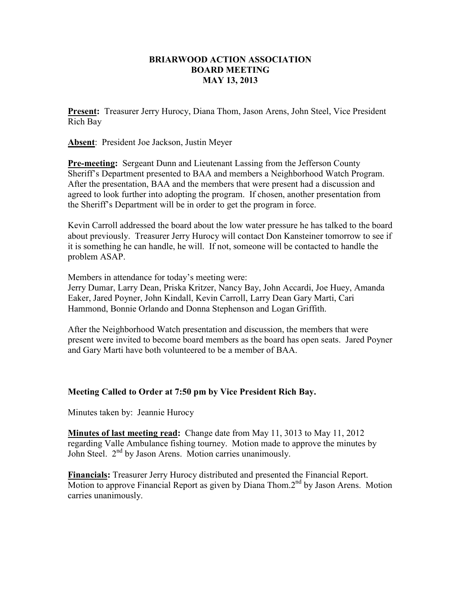## **BRIARWOOD ACTION ASSOCIATION BOARD MEETING MAY 13, 2013**

**Present:** Treasurer Jerry Hurocy, Diana Thom, Jason Arens, John Steel, Vice President Rich Bay

**Absent**: President Joe Jackson, Justin Meyer

**Pre-meeting:** Sergeant Dunn and Lieutenant Lassing from the Jefferson County Sheriff's Department presented to BAA and members a Neighborhood Watch Program. After the presentation, BAA and the members that were present had a discussion and agreed to look further into adopting the program. If chosen, another presentation from the Sheriff's Department will be in order to get the program in force.

Kevin Carroll addressed the board about the low water pressure he has talked to the board about previously. Treasurer Jerry Hurocy will contact Don Kansteiner tomorrow to see if it is something he can handle, he will. If not, someone will be contacted to handle the problem ASAP.

Members in attendance for today's meeting were: Jerry Dumar, Larry Dean, Priska Kritzer, Nancy Bay, John Accardi, Joe Huey, Amanda

Eaker, Jared Poyner, John Kindall, Kevin Carroll, Larry Dean Gary Marti, Cari Hammond, Bonnie Orlando and Donna Stephenson and Logan Griffith.

After the Neighborhood Watch presentation and discussion, the members that were present were invited to become board members as the board has open seats. Jared Poyner and Gary Marti have both volunteered to be a member of BAA.

## **Meeting Called to Order at 7:50 pm by Vice President Rich Bay.**

Minutes taken by: Jeannie Hurocy

**Minutes of last meeting read:** Change date from May 11, 3013 to May 11, 2012 regarding Valle Ambulance fishing tourney. Motion made to approve the minutes by John Steel. 2<sup>nd</sup> by Jason Arens. Motion carries unanimously.

**Financials:** Treasurer Jerry Hurocy distributed and presented the Financial Report. Motion to approve Financial Report as given by Diana Thom.2<sup>nd</sup> by Jason Arens. Motion carries unanimously.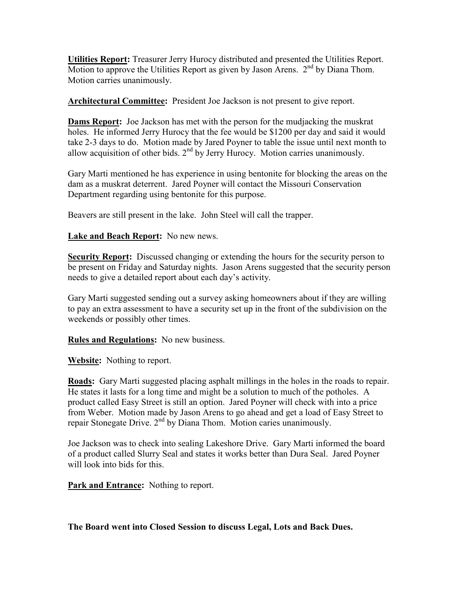**Utilities Report:** Treasurer Jerry Hurocy distributed and presented the Utilities Report. Motion to approve the Utilities Report as given by Jason Arens.  $2<sup>nd</sup>$  by Diana Thom. Motion carries unanimously.

**Architectural Committee:** President Joe Jackson is not present to give report.

**Dams Report:** Joe Jackson has met with the person for the mudjacking the muskrat holes. He informed Jerry Hurocy that the fee would be \$1200 per day and said it would take 2-3 days to do. Motion made by Jared Poyner to table the issue until next month to allow acquisition of other bids.  $2<sup>nd</sup>$  by Jerry Hurocy. Motion carries unanimously.

Gary Marti mentioned he has experience in using bentonite for blocking the areas on the dam as a muskrat deterrent. Jared Poyner will contact the Missouri Conservation Department regarding using bentonite for this purpose.

Beavers are still present in the lake. John Steel will call the trapper.

## **Lake and Beach Report:** No new news.

**Security Report:** Discussed changing or extending the hours for the security person to be present on Friday and Saturday nights. Jason Arens suggested that the security person needs to give a detailed report about each day's activity.

Gary Marti suggested sending out a survey asking homeowners about if they are willing to pay an extra assessment to have a security set up in the front of the subdivision on the weekends or possibly other times.

**Rules and Regulations:** No new business.

**Website:** Nothing to report.

**Roads:** Gary Marti suggested placing asphalt millings in the holes in the roads to repair. He states it lasts for a long time and might be a solution to much of the potholes. A product called Easy Street is still an option. Jared Poyner will check with into a price from Weber. Motion made by Jason Arens to go ahead and get a load of Easy Street to repair Stonegate Drive.  $2<sup>nd</sup>$  by Diana Thom. Motion caries unanimously.

Joe Jackson was to check into sealing Lakeshore Drive. Gary Marti informed the board of a product called Slurry Seal and states it works better than Dura Seal. Jared Poyner will look into bids for this.

**Park and Entrance:** Nothing to report.

**The Board went into Closed Session to discuss Legal, Lots and Back Dues.**